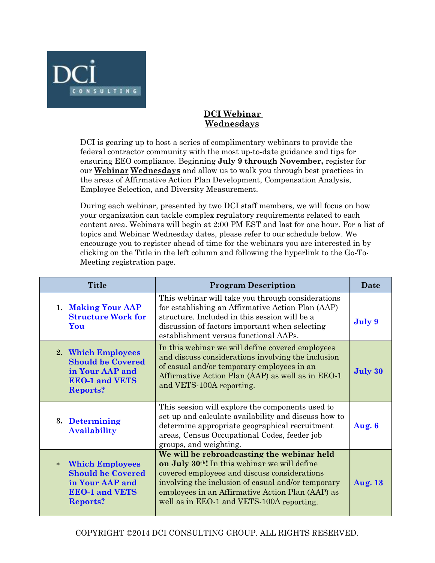

## **DCI Webinar Wednesdays**

DCI is gearing up to host a series of complimentary webinars to provide the federal contractor community with the most up-to-date guidance and tips for ensuring EEO compliance. Beginning **July 9 through November,** register for our **Webinar Wednesdays** and allow us to walk you through best practices in the areas of Affirmative Action Plan Development, Compensation Analysis, Employee Selection, and Diversity Measurement.

During each webinar, presented by two DCI staff members, we will focus on how your organization can tackle complex regulatory requirements related to each content area. Webinars will begin at 2:00 PM EST and last for one hour. For a list of topics and Webinar Wednesday dates, please refer to our schedule below. We encourage you to register ahead of time for the webinars you are interested in by clicking on the Title in the left column and following the hyperlink to the Go-To-Meeting registration page.

| <b>Title</b>                                                                                                                | <b>Program Description</b>                                                                                                                                                                                                                                                                                     | Date           |
|-----------------------------------------------------------------------------------------------------------------------------|----------------------------------------------------------------------------------------------------------------------------------------------------------------------------------------------------------------------------------------------------------------------------------------------------------------|----------------|
| 1. Making Your AAP<br><b>Structure Work for</b><br>You                                                                      | This webinar will take you through considerations<br>for establishing an Affirmative Action Plan (AAP)<br>structure. Included in this session will be a<br>discussion of factors important when selecting<br>establishment versus functional AAPs.                                                             | July 9         |
| 2. Which Employees<br><b>Should be Covered</b><br>in Your AAP and<br><b>EEO-1 and VETS</b><br><b>Reports?</b>               | In this webinar we will define covered employees<br>and discuss considerations involving the inclusion<br>of casual and/or temporary employees in an<br>Affirmative Action Plan (AAP) as well as in EEO-1<br>and VETS-100A reporting.                                                                          | July 30        |
| 3. Determining<br><b>Availability</b>                                                                                       | This session will explore the components used to<br>set up and calculate availability and discuss how to<br>determine appropriate geographical recruitment<br>areas, Census Occupational Codes, feeder job<br>groups, and weighting.                                                                           | Aug. $6$       |
| <b>Which Employees</b><br>$\ast$<br><b>Should be Covered</b><br>in Your AAP and<br><b>EEO-1 and VETS</b><br><b>Reports?</b> | We will be rebroadcasting the webinar held<br>on July 30 <sup>th</sup> ! In this webinar we will define<br>covered employees and discuss considerations<br>involving the inclusion of casual and/or temporary<br>employees in an Affirmative Action Plan (AAP) as<br>well as in EEO-1 and VETS-100A reporting. | <b>Aug. 13</b> |